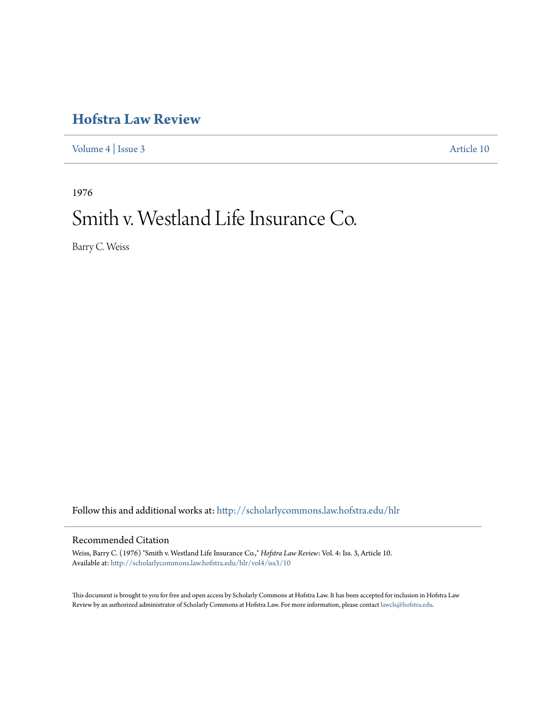## **[Hofstra Law Review](http://scholarlycommons.law.hofstra.edu/hlr?utm_source=scholarlycommons.law.hofstra.edu%2Fhlr%2Fvol4%2Fiss3%2F10&utm_medium=PDF&utm_campaign=PDFCoverPages)**

[Volume 4](http://scholarlycommons.law.hofstra.edu/hlr/vol4?utm_source=scholarlycommons.law.hofstra.edu%2Fhlr%2Fvol4%2Fiss3%2F10&utm_medium=PDF&utm_campaign=PDFCoverPages) | [Issue 3](http://scholarlycommons.law.hofstra.edu/hlr/vol4/iss3?utm_source=scholarlycommons.law.hofstra.edu%2Fhlr%2Fvol4%2Fiss3%2F10&utm_medium=PDF&utm_campaign=PDFCoverPages) [Article 10](http://scholarlycommons.law.hofstra.edu/hlr/vol4/iss3/10?utm_source=scholarlycommons.law.hofstra.edu%2Fhlr%2Fvol4%2Fiss3%2F10&utm_medium=PDF&utm_campaign=PDFCoverPages)

1976

# Smith v. Westland Life Insurance Co.

Barry C. Weiss

Follow this and additional works at: [http://scholarlycommons.law.hofstra.edu/hlr](http://scholarlycommons.law.hofstra.edu/hlr?utm_source=scholarlycommons.law.hofstra.edu%2Fhlr%2Fvol4%2Fiss3%2F10&utm_medium=PDF&utm_campaign=PDFCoverPages)

### Recommended Citation

Weiss, Barry C. (1976) "Smith v. Westland Life Insurance Co.," *Hofstra Law Review*: Vol. 4: Iss. 3, Article 10. Available at: [http://scholarlycommons.law.hofstra.edu/hlr/vol4/iss3/10](http://scholarlycommons.law.hofstra.edu/hlr/vol4/iss3/10?utm_source=scholarlycommons.law.hofstra.edu%2Fhlr%2Fvol4%2Fiss3%2F10&utm_medium=PDF&utm_campaign=PDFCoverPages)

This document is brought to you for free and open access by Scholarly Commons at Hofstra Law. It has been accepted for inclusion in Hofstra Law Review by an authorized administrator of Scholarly Commons at Hofstra Law. For more information, please contact [lawcls@hofstra.edu](mailto:lawcls@hofstra.edu).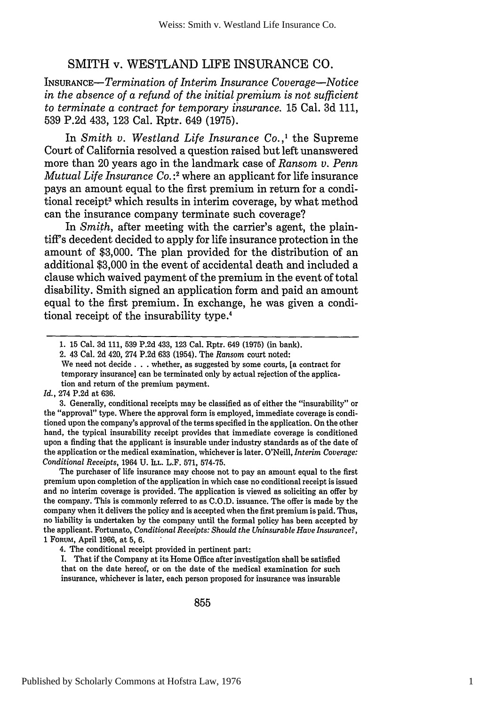## SMITH v. **WESTLAND LIFE INSURANCE CO.**

INSURANCE-Termination *of Interim Insurance Coverage-Notice in the absence of a refund of the initial premium is not sufficient to terminate a contract for temporary insurance.* 15 Cal. 3d 111, 539 P.2d 433, 123 Cal. Rptr. 649 (1975).

In *Smith v. Westland Life Insurance Co.,1* the Supreme Court of California resolved a question raised but left unanswered more than 20 years ago in the landmark case of *Ransom v. Penn Mutual Life Insurance Co. :'* where an applicant for life insurance pays an amount equal to the first premium in return for a conditional receipt<sup>3</sup> which results in interim coverage, by what method can the insurance company terminate such coverage?

In *Smith*, after meeting with the carrier's agent, the plaintiff's decedent decided to apply for life insurance protection in the amount of \$3,000. The plan provided for the distribution of an additional \$3,000 in the event of accidental death and included a clause which waived payment of the premium in the event of total disability. Smith signed an application form and paid an amount equal to the first premium. In exchange, he was given a conditional receipt of the insurability type.4

We need not decide **. . .** whether, as suggested by some courts, [a contract for temporary insurance] can be terminated only by actual rejection of the application and return of the premium payment.

#### *Id.,* 274 P.2d at 636.

3. Generally, conditional receipts may be classified as of either the "insurability" or the "approval" type. Where the approval form is employed, immediate coverage is conditioned upon the company's approval of the terms specified in the application. On the other hand, the typical insurability receipt provides that immediate coverage is conditioned upon a finding that the applicant is insurable under industry standards as of the date of the application or the medical examination, whichever is later. O'Neill, *Interim Coverage: Conditional Receipts,* 1964 **U. ILL.** L.F. **571, 574-75.**

The purchaser of life insurance may choose not to pay an amount equal to the first premium upon completion of the application in which case no conditional receipt is issued and no interim coverage is provided. The application is viewed as soliciting an offer by the company. This is commonly referred to as C.O.D. issuance. The offer is made by the company when it delivers the policy and is accepted when the first premium is paid. Thus, no liability is undertaken by the company until the formal policy has been accepted by the applicant. Fortunato, *Conditional Receipts: Should the Uninsurable Have Insurance?,* 1 FoRuM, April 1966, at 5, 6.

<sup>1. 15</sup> Cal. 3d 111, 539 P.2d 433, 123 Cal. Rptr. 649 (1975) (in bank).

<sup>2. 43</sup> Cal. 2d 420, 274 P.2d 633 (1954). The Ransom court noted:

<sup>4.</sup> The conditional receipt provided in pertinent part:

I. That if the Company at its Home Office after investigation shall be satisfied that on the date hereof, or on the date of the medical examination for such insurance, whichever is later, each person proposed for insurance was insurable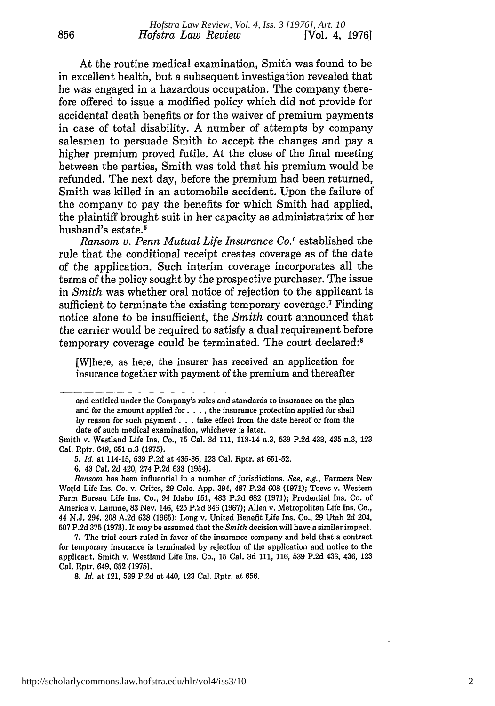At the routine medical examination, Smith was found to be in excellent health, but a subsequent investigation revealed that he was engaged in a hazardous occupation. The company therefore offered to issue a modified policy which did not provide for accidental death benefits or for the waiver of premium payments in case of total disability. **A** number of attempts **by** company salesmen to persuade Smith to accept the changes and pay a higher premium proved futile. At the close of the final meeting between the parties, Smith was told that his premium would be refunded. The next day, before the premium had been returned, Smith was killed in an automobile accident. Upon the failure of the company to pay the benefits for which Smith had applied, the plaintiff brought suit in her capacity as administratrix of her husband's estate.<sup>5</sup>

*Ransom v. Penn Mutual Life Insurance Co.* **I** established the rule that the conditional receipt creates coverage as of the date of the application. Such interim coverage incorporates all the terms of the policy sought **by** the prospective purchaser. The issue in *Smith* was whether oral notice of rejection to the applicant is sufficient to terminate the existing temporary coverage.7 Finding notice alone to be insufficient, the *Smith* court announced that the carrier would be required to satisfy a dual requirement before temporary coverage could be terminated. The court declared:<sup>8</sup>

[W]here, as here, the insurer has received an application for insurance together with payment of the premium and thereafter

**6.** 43 Cal. **2d** 420, 274 **P.2d 633** (1954).

*Ransom* has been influential in a number of jurisdictions. *See, e.g.,* Farmers New World Life Ins. Co. v. Crites, **29 Colo. App.** 394, **487 P.2d 608 (1971);** Toevs v. Western Farm Bureau Life Ins. Co., 94 Idaho **151,** 483 **P.2d 682 (1971);** Prudential Ins. Co. of America v. Lamme, **83** Nev. 146, 425 **P.2d** 346 **(1967);** Allen v. Metropolitan Life Ins. Co., 44 **N.J.** 294, **208 A.2d 638 (1965);** Long v. United Benefit Life Ins. Co., **29** Utah **2d** 204, **507 P.2d 375 (1973).** It may be assumed that the *Smith* decision will have a similar impact.

**7.** The trial court ruled in favor of the insurance company and held that a contract for temporary insurance is terminated **by** rejection of the application and notice to the applicant. Smith v. Westland Life Ins. Co., **15** Cal. **3d 111, 116, 539 P.2d** 433, 436, **123** Cal. Rptr. 649, **652 (1975).**

*8. Id.* at 121, **539 P.2d** at 440, **123** Cal. Rptr. at **656.**

and entitled under the Company's rules and standards to insurance on the plan and for the amount applied for. **. .,** the insurance protection applied for shall **by** reason for such payment **. . .** take effect from the date hereof or from the date of such medical examination, whichever is later.

Smith v. Westland Life Ins. Co., **15** Cal. **3d 111,** 113-14 n.3, **539 P.2d** 433, 435 n.3, **123** Cal. Rptr. 649, **651** n.3 **(1975).**

*<sup>5.</sup> Id.* at 114-15, **539 P.2d** at **435-36, 123** Cal. Rptr. at **651-52.**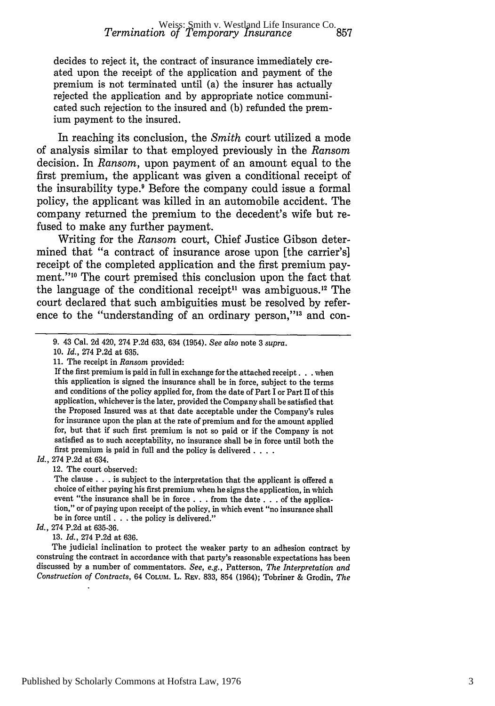decides to reject it, the contract of insurance immediately created upon the receipt of the application and payment of the premium is not terminated until (a) the insurer has actually rejected the application and by appropriate notice communicated such rejection to the insured and (b) refunded the premium payment to the insured.

In reaching its conclusion, the *Smith* court utilized a mode of analysis similar to that employed previously in the *Ransom* decision. In *Ransom,* upon payment of an amount equal to the first premium, the applicant was given a conditional receipt of the insurability type.' Before the company could issue a formal policy, the applicant was killed in an automobile accident. The company returned the premium to the decedent's wife but refused to make any further payment.

Writing for the *Ransom* court, Chief Justice Gibson determined that "a contract of insurance arose upon [the carrier's] receipt of the completed application and the first premium payment."10 The court premised this conclusion upon the fact that the language of the conditional receipt<sup> $11$ </sup> was ambiguous.<sup>12</sup> The court declared that such ambiguities must be resolved by reference to the "understanding of an ordinary person,"<sup>13</sup> and con-

*Id.,* 274 P.2d at 634.

12. The court observed:

The clause **. . .** is subject to the interpretation that the applicant is offered a choice of either paying his first premium when he signs the application, in which event "the insurance shall be in force **. . .** from the date **. . .** of the application," or of paying upon receipt of the policy, in which event "no insurance shall be in force until **. . .** the policy is delivered."

*Id.,* 274 P.2d at 635-36.

The judicial inclination to protect the weaker party to an adhesion contract by construing the contract in accordance with that party's reasonable expectations has been discussed by a number of commentators. *See, e.g.,* Patterson, *The Interpretation and Construction of Contracts,* 64 **COLUM.** L. **REV.** 833, 854 (1964); Tobriner & Grodin, *The*

<sup>9. 43</sup> Cal. 2d 420, 274 P.2d 633, 634 (1954). *See also* note 3 *supra.*

<sup>10.</sup> *Id.,* 274 P.2d at 635.

<sup>11.</sup> The receipt in *Ransom* provided:

If the first premium is paid in full in exchange for the attached receipt. **. .** when this application is signed the insurance shall be in force, subject to the terms and conditions of the policy applied for, from the date of Part I or Part II of this application, whichever is the later, provided the Company shall be satisfied that the Proposed Insured was at that date acceptable under the Company's rules for insurance upon the plan at the rate of premium and for the amount applied for, but that if such first premium is not so paid or if the Company is not satisfied as to such acceptability, no insurance shall be in force until both the first premium is paid in full and the policy is delivered **....**

<sup>13.</sup> *Id.,* 274 P.2d at 636.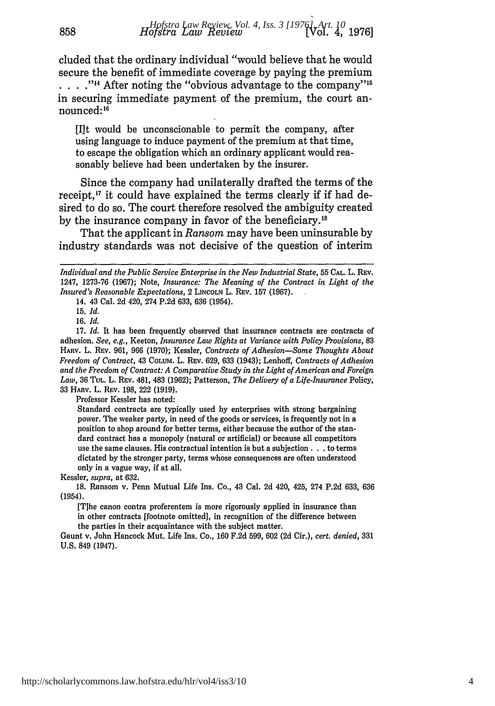cluded that the ordinary individual "would believe that he would secure the benefit of immediate coverage by paying the premium **...** .<sup>"14</sup> After noting the "obvious advantage to the company"<sup>15</sup> in securing immediate payment of the premium, the court announced:<sup>16</sup>

[lit would be unconscionable to permit the company, after using language to induce payment of the premium at that time, to escape the obligation which an ordinary applicant would reasonably believe had been undertaken by the insurer.

Since the company had unilaterally drafted the terms of the receipt,'" it could have explained the terms clearly **if** if had desired to do so. The court therefore resolved the ambiguity created by the insurance company in favor of the beneficiary.<sup>18</sup>

That the applicant in *Ransom* may have been uninsurable by industry standards was not decisive of the question of interim

858

16. *Id.*

Professor Kessler has noted:

Standard contracts are typically used by enterprises with strong bargaining power. The weaker party, in need of the goods or services, is frequently not in a position to shop around for better terms, either because the author of the standard contract has a monopoly (natural or artificial) or because all competitors use the same clauses. His contractual intention is but a subjection. **. .** to terms dictated by the stronger party, terms whose consequences are often understood only in a vague way, if at all.

Kessler, *supra,* at 632.

18. Ransom v. Penn Mutual Life Ins. Co., 43 Cal. 2d 420, 425, 274 P.2d 633, 636 (1954).

**[T]he** canon contra proferentem is more rigorously applied in insurance than in other contracts [footnote omitted], in recognition of the difference between the parties in their acquaintance with the subject matter.

Gaunt v. John Hancock Mut. Life Ins. Co., **160 F.2d 599, 602 (2d** Cir.), *cert. denied,* **331 U.S.** 849 (1947).

*Individual and the Public Service Enterprise in the New Industrial State,* 55 **CAL.** L. REv. 1247, 1273-76 (1967); Note, *Insurance: The Meaning of the Contract in Light of the Insured's Reasonable Expectations,* 2 **LINCOLN** L. REV. 157 (1967).

<sup>14. 43</sup> Cal. 2d 420, 274 P.2d 633, 636 (1954).

**<sup>15.</sup>** *Id.*

<sup>17.</sup> *Id.* It has been frequently observed that insurance contracts are contracts of adhesion. *See, e.g.,* Keeton, *Insurance Law Rights at Variance with Policy Provisions, 83* **HARV.** L. **REV.** 961, 966 (1970); Kessler, *Contracts of Adhesion-Some Thoughts About Freedom of Contract,* 43 **COLUM.** L. **REV.** 629, 633 (1943); Lenhoff, *Contracts of Adhesion and the Freedom of Contract: A Comparative Study in the Light of American and Foreign Law,* 36 TUL. L. REV. 481, 483 (1962); Patterson, *The Delivery of a Life-Insurance* Policy, 33 **HARv.** L. REv. 198, 222 (1919).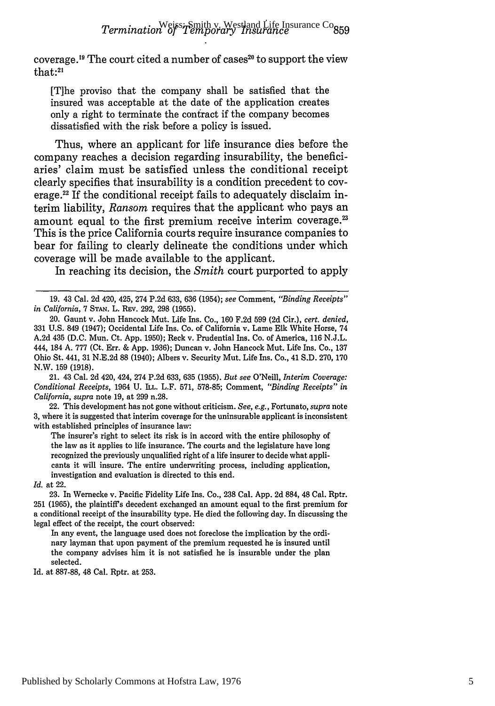coverage.<sup>19</sup> The court cited a number of cases<sup>20</sup> to support the view that:<sup>21</sup>

[T]he proviso that the company shall be satisfied that the insured was acceptable at the date of the application creates only a right to terminate the confract if the company becomes dissatisfied with the risk before a policy is issued.

Thus, where an applicant for life insurance dies before the company reaches a decision regarding insurability, the beneficiaries' claim must be satisfied unless the conditional receipt clearly specifies that insurability is a condition precedent to coverage.<sup>22</sup> If the conditional receipt fails to adequately disclaim interim liability, *Ransom* requires that the applicant who pays an amount equal to the first premium receive interim coverage.<sup>23</sup> This is the price California courts require insurance companies to bear for failing to clearly delineate the conditions under which coverage will be made available to the applicant.

In reaching its decision, the *Smith* court purported to apply

21. 43 Cal. 2d 420, 424, 274 P.2d 633, 635 (1955). *But see* O'Neill, *Interim Coverage: Conditional Receipts,* 1964 **U. ILL.** L.F. **571, 578-85;** Comment, *"Binding Receipts" in California, supra* note **19,** at **299** n.28.

22. This development has not gone without criticism. *See, e.g.,* Fortunato, *supra* note **3,** where it is suggested that interim coverage for the uninsurable applicant is inconsistent with established principles of insurance law:

The insurer's right to select its risk is in accord with the entire philosophy of the law as it applies to life insurance. The courts and the legislature have long recognized the previously unqualified right of a life insurer to decide what applicants it will insure. The entire underwriting process, including application, investigation and evaluation is directed to this end.

*Id.* at 22.

**23.** In Wernecke v. Pacific Fidelity Life Ins. Co., **238** Cal. **App. 2d 884,** 48 Cal. Rptr. **251 (1965),** the plaintiff's decedent exchanged an amount equal to the first premium for a conditional receipt of the insurability type. He died the following day. In discussing the legal effect of the receipt, the court observed:

In any event, the language used does not foreclose the implication **by** the ordinary layman that upon payment of the premium requested he is insured until the company advises him it is not satisfied he is insurable under the plan selected.

Id. at **887-88,** 48 Cal. Rptr. at **253.**

<sup>19. 43</sup> Cal. 2d 420, 425, 274 P.2d 633, 636 (1954); *see* Comment, *"Binding Receipts" in California,* 7 **STAN.** L. REV. 292, 298 (1955).

<sup>20.</sup> Gaunt v. John Hancock Mut. Life Ins. Co., 160 F.2d 599 (2d Cir.), *cert. denied,* 331 U.S. 849 (1947); Occidental Life Ins. Co. of California v. Lame Elk White Horse, 74 A.2d 435 (D.C. Mun. Ct. App. 1950); Reck v. Prudential Ins. Co. of America, 116 N.J.L. 444, 184 A. 777 (Ct. Err. & App. 1936); Duncan v. John Hancock Mut. Life Ins. Co., 137 Ohio St. 441, 31 N.E.2d 88 (1940); Albers v. Security Mut. Life Ins. Co., 41 S.D. 270, 170 N.W. 159 (1918).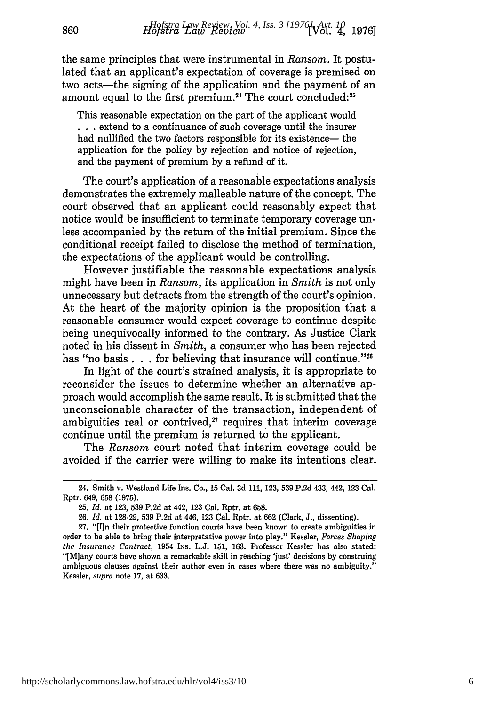the same principles that were instrumental in *Ransom.* It postulated that an applicant's expectation of coverage is premised on two acts-the signing of the application and the payment of an amount equal to the first premium.<sup>24</sup> The court concluded:<sup>25</sup>

This reasonable expectation on the part of the applicant would **.. .**extend to a continuance of such coverage until the insurer had nullified the two factors responsible for its existence— the application for the policy by rejection and notice of rejection, and the payment of premium by a refund of it.

The court's application of a reasonable expectations analysis demonstrates the extremely malleable nature of the concept. The court observed that an applicant could reasonably expect that notice would be insufficient to terminate temporary coverage unless accompanied by the return of the initial premium. Since the conditional receipt failed to disclose the method of termination, the expectations of the applicant would be controlling.

However justifiable the reasonable expectations analysis might have been in *Ransom,* its application in *Smith* is not only unnecessary but detracts from the strength of the court's opinion. At the heart of the majority opinion is the proposition that a reasonable consumer would expect coverage to continue despite being unequivocally informed to the contrary. As Justice Clark noted in his dissent in *Smith,* a consumer who has been rejected has "no basis  $\ldots$  for believing that insurance will continue."<sup>26</sup>

In light of the court's strained analysis, it is appropriate to reconsider the issues to determine whether an alternative approach would accomplish the same result. It is submitted that the unconscionable character of the transaction, independent of ambiguities real or contrived, $27$  requires that interim coverage continue until the premium is returned to the applicant.

The *Ransom* court noted that interim coverage could be avoided if the carrier were willing to make its intentions clear.

<sup>24.</sup> Smith v. Westland Life Ins. Co., **15** Cal. 3d 111, 123, 539 P.2d 433, 442, 123 Cal. Rptr. 649, 658 (1975).

<sup>25.</sup> *Id.* at 123, 539 P.2d at 442, 123 Cal. Rptr. at 658.

<sup>26.</sup> *Id.* at 128-29, 539 P.2d at 446, 123 Cal. Rptr. at 662 (Clark, J., dissenting).

**<sup>27.</sup>** "[I]n their protective function courts have been known to create ambiguities in order to be able to bring their interpretative power into play." Kessler, *Forces Shaping* the *Insurance Contract,* 1954 **INS.** L.J. 151, 163. Professor Kessler has also stated: "[M]any courts have shown a remarkable skill in reaching 'just' decisions by construing ambiguous clauses against their author even in cases where there was no ambiguity." Kessler, *supra* note 17, at 633.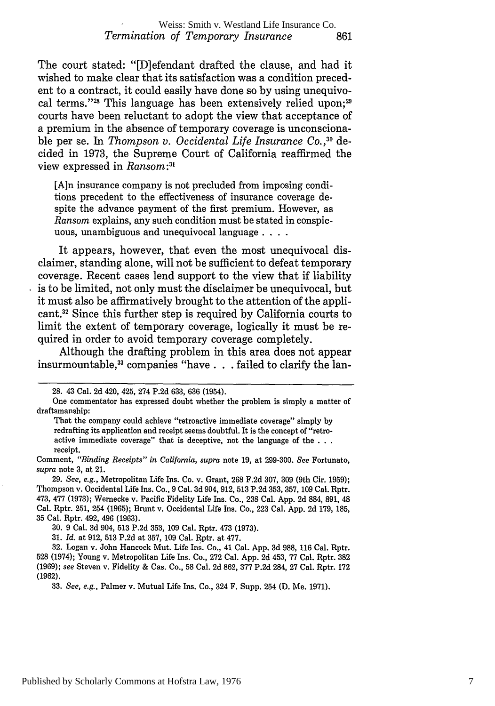#### Weiss: Smith v. Westland Life Insurance Co. *Termination of Temporary Insurance* 861

The court stated: "[D]efendant drafted the clause, and had it wished to make clear that its satisfaction was a condition precedent to a contract, it could easily have done so by using unequivocal terms."<sup>28</sup> This language has been extensively relied upon;<sup>29</sup> courts have been reluctant to adopt the view that acceptance of a premium in the absence of temporary coverage is unconscionable per se. In *Thompson v. Occidental Life Insurance Co.,10* decided in 1973, the Supreme Court of California reaffirmed the view expressed in *Ransom:3 1*

[Ain insurance company is not precluded from imposing conditions precedent to the effectiveness of insurance coverage despite the advance payment of the first premium. However, as *Ransom* explains, any such condition must be stated in conspicuous, unambiguous and unequivocal language **....**

It appears, however, that even the most unequivocal disclaimer, standing alone, will not be sufficient to defeat temporary coverage. Recent cases lend support to the view that if liability is to be limited, not only must the disclaimer be unequivocal, but it must also be affirmatively brought to the attention of the applicant.<sup>32</sup> Since this further step is required by California courts to limit the extent of temporary coverage, logically it must be required in order to avoid temporary coverage completely.

Although the drafting problem in this area does not appear insurmountable,33 companies "have. **.** . failed to clarify the lan-

Comment, *"Binding Receipts" in California, supra* note 19, at 299-300. *See* Fortunato, *supra* note 3, at 21.

29. *See, e.g.,* Metropolitan Life Ins. Co. v. Grant, 268 F.2d 307, 309 (9th Cir. 1959); Thompson v. Occidental Life Ins. Co., 9 Cal. 3d 904, 912, 513 P.2d 353, 357, 109 Cal. Rptr. 473, 477 (1973); Wernecke v. Pacific Fidelity Life Ins. Co., 238 Cal. App. 2d 884, 891, 48 Cal. Rptr. 251, 254 (1965); Brunt v. Occidental Life Ins. Co., 223 Cal. App. 2d 179, 185, 35 Cal. Rptr. 492, 496 (1963).

30. 9 Cal. 3d 904, 513 P.2d 353, 109 Cal. Rptr. 473 (1973).

31. *Id.* at 912, 513 P.2d at 357, 109 Cal. Rptr. at 477.

32. Logan v. John Hancock Mut. Life Ins. Co., 41 Cal. App. 3d 988, 116 Cal. Rptr. 528 (1974); Young v. Metropolitan Life Ins. Co., 272 Cal. App. 2d 453, 77 Cal. Rptr. 382 (1969); *see* Steven v. Fidelity & Cas. Co., 58 Cal. 2d 862, 377 P.2d 284, 27 Cal. Rptr. 172 (1962).

33. *See, e.g.,* Palmer v. Mutual Life Ins. Co., 324 F. Supp. 254 (D. Me. 1971).

<sup>28. 43</sup> Cal. 2d 420, 425, 274 P.2d 633, 636 (1954).

One commentator has expressed doubt whether the problem is simply a matter of draftsmanship:

That the company could achieve "retroactive immediate coverage" simply by redrafting its application and receipt seems doubtful. It is the concept of "retroactive immediate coverage" that is deceptive, not the language of the **. . .** receipt.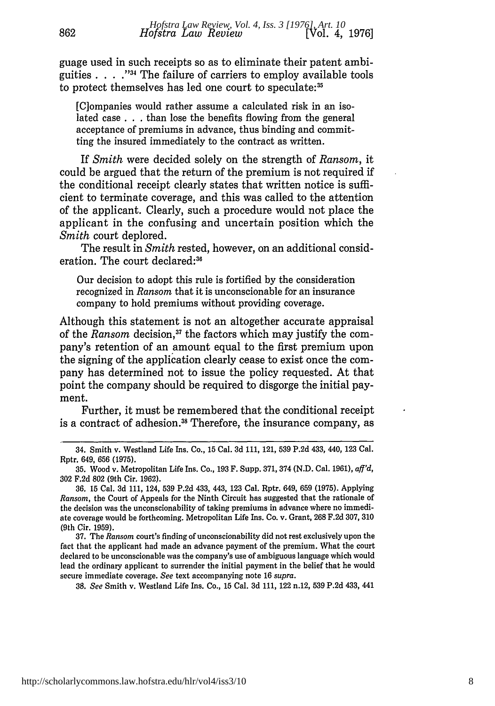guage used in such receipts so as to eliminate their patent ambiguities . **.** . **."I'** The failure of carriers to employ available tools to protect themselves has led one court to speculate:<sup>35</sup>

862

[C]ompanies would rather assume a calculated risk in an isolated case **. . .** than lose the benefits flowing from the general acceptance of premiums in advance, thus binding and committing the insured immediately to the contract as written.

If *Smith* were decided solely on the strength of *Ransom,* it could be argued that the return of the premium is not required if the conditional receipt clearly states that written notice is sufficient to terminate coverage, and this was called to the attention of the applicant. Clearly, such a procedure would not place the applicant in the confusing and uncertain position which the *Smith* court deplored.

The result in *Smith* rested, however, on an additional consideration. The court declared:<sup>36</sup>

Our decision to adopt this rule is fortified by the consideration recognized in *Ransom* that it is unconscionable for an insurance company to hold premiums without providing coverage.

Although this statement is not an altogether accurate appraisal of the *Ransom* decision,<sup>37</sup> the factors which may justify the company's retention of an amount equal to the first premium upon the signing of the application clearly cease to exist once the company has determined not to issue the policy requested. At that point the company should be required to disgorge the initial payment.

Further, it must be remembered that the conditional receipt is a contract of adhesion.<sup>38</sup> Therefore, the insurance company, as

37. The *Ransom* court's finding of unconscionability did not rest exclusively upon the fact that the applicant had made an advance payment of the premium. What the court declared to be unconscionable was the company's use of ambiguous language which would lead the ordinary applicant to surrender the initial payment in the belief that he would secure immediate coverage. *See* text accompanying note 16 *supra.*

38. *See* Smith v. Westland Life Ins. Co., 15 Cal. 3d 111, 122 n.12, 539 P.2d 433, 441

<sup>34.</sup> Smith v. Westland Life Ins. Co., 15 Cal. 3d 111, 121, 539 P.2d 433, 440, 123 Cal. Rptr. 649, 656 (1975).

<sup>35.</sup> Wood v. Metropolitan Life Ins. Co., 193 F. Supp. 371, 374 (N.D. Cal. 1961), *aff'd,* 302 F.2d 802 (9th Cir. 1962).

<sup>36. 15</sup> Cal. 3d 111, 124, 539 P.2d 433, 443, 123 Cal. Rptr. 649, 659 (1975). Applying *Ransom,* the Court of Appeals for the Ninth Circuit has suggested that the rationale of the decision was the unconscionability of taking premiums in advance where no immediate coverage would be forthcoming. Metropolitan Life Ins. Co. v. Grant, 268 F.2d 307, 310 (9th Cir. 1959).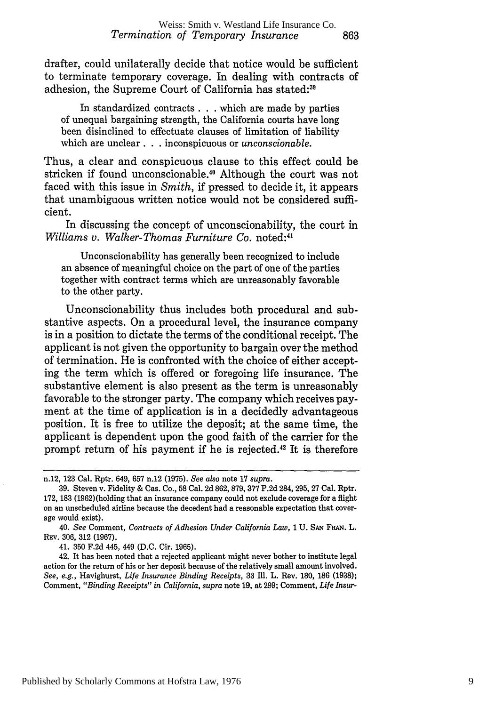drafter, could unilaterally decide that notice would be sufficient to terminate temporary coverage. In dealing with contracts of adhesion, the Supreme Court of California has stated:<sup>39</sup>

In standardized contracts. **. .** which are made by parties of unequal bargaining strength, the California courts have long been disinclined to effectuate clauses of limitation of liability which are unclear. **.** inconspicuous or *unconscionable.*

Thus, a clear and conspicuous clause to this effect could be stricken if found unconscionable." Although the court was not faced with this issue in *Smith,* if pressed to decide it, it appears that unambiguous written notice would not be considered sufficient.

In discussing the concept of unconscionability, the court in *Williams v. Walker-Thomas Furniture Co.* noted:<sup>41</sup>

Unconscionability has generally been recognized to include an absence of meaningful choice on the part of one of the parties together with contract terms which are unreasonably favorable to the other party.

Unconscionability thus includes both procedural and substantive aspects. On a procedural level, the insurance company is in a position to dictate the terms of the conditional receipt. The applicant is not given the opportunity to bargain over the method of termination. He is confronted with the choice of either accepting the term which is offered or foregoing life insurance. The substantive element is also present as the term is unreasonably favorable to the stronger party. The company which receives payment at the time of application is in a decidedly advantageous position. It is free to utilize the deposit; at the same time, the applicant is dependent upon the good faith of the carrier for the prompt return of his payment if he is rejected.<sup>42</sup> It is therefore

41. 350 F.2d 445, 449 (D.C. Cir. 1965).

42. It has been noted that a rejected applicant might never bother to institute legal action for the return of his or her deposit because of the relatively small amount involved. *See, e.g.,* Havighurst, *Life Insurance Binding Receipts,* 33 Ill. L. Rev. 180, **186** (1938); Comment, *"Binding Receipts" in California, supra* note 19, at 299; Comment, *Life Insur-*

n.12, 123 Cal. Rptr. 649, 657 n.12 (1975). *See also* note 17 *supra.*

<sup>39.</sup> Steven v. Fidelity & Cas. Co., 58 Cal. 2d 862, 879, 377 P.2d 284, 295, 27 Cal. Rptr. 172, 183 (1962) (holding that an insurance company could not exclude coverage for a flight on an unscheduled airline because the decedent had a reasonable expectation that coverage would exist).

<sup>40.</sup> *See* Comment, *Contracts of Adhesion Under California Law, 1* **U. SAN FRAN.** L. REv. 306, 312 (1967).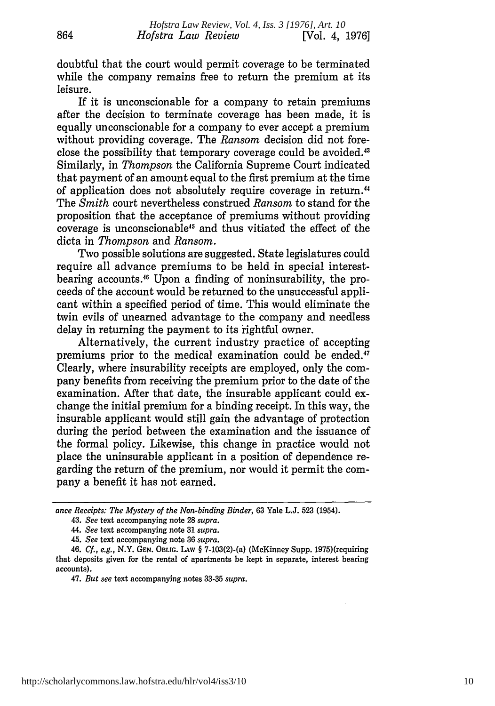doubtful that the court would permit coverage to be terminated while the company remains free to return the premium at its leisure.

864

If it is unconscionable for a company to retain premiums after the decision to terminate coverage has been made, it is equally unconscionable for a company to ever accept a premium without providing coverage. The *Ransom* decision did not foreclose the possibility that temporary coverage could be avoided.<sup>43</sup> Similarly, in *Thompson* the California Supreme Court indicated that payment of an amount equal to the first premium at the time of application does not absolutely require coverage in return.44 The *Smith* court nevertheless construed *Ransom* to stand for the proposition that the acceptance of premiums without providing coverage is unconscionable45 and thus vitiated the effect of the dicta in *Thompson* and *Ransom.*

Two possible solutions are suggested. State legislatures could require all advance premiums to be held in special interestbearing accounts." Upon a finding of noninsurability, the proceeds of the account would be returned to the unsuccessful applicant within a specified period of time. This would eliminate the twin evils of unearned advantage to the company and needless delay in returning the payment to its rightful owner.

Alternatively, the current industry practice of accepting premiums prior to the medical examination could be ended.<sup>47</sup> Clearly, where insurability receipts are employed, only the company benefits from receiving the premium prior to the date of the examination. After that date, the insurable applicant could exchange the initial premium for a binding receipt. In this way, the insurable applicant would still gain the advantage of protection during the period between the examination and the issuance of the formal policy. Likewise, this change in practice would not place the uninsurable applicant in a position of dependence regarding the return of the premium, nor would it permit the company a benefit it has not earned.

47. *But see* text accompanying notes 33-35 *supra.*

*ance Receipts: The Mystery of the Non-binding Binder,* 63 Yale L.J. 523 (1954).

*<sup>43.</sup> See* text accompanying note 28 *supra.*

<sup>44.</sup> *See* text accompanying note 31 *supra.*

<sup>45.</sup> *See* text accompanying note 36 *supra.*

<sup>46.</sup> *Cf., e.g.,* N.Y. GEN. OBLIG. LAW § 7-103(2)-(a) (McKinney Supp. 1975)(requiring that deposits given for the rental of apartments be kept in separate, interest bearing accounts).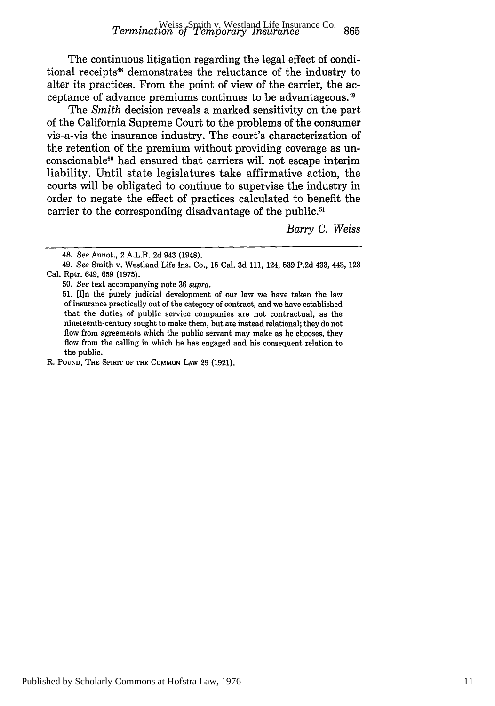The continuous litigation regarding the legal effect of conditional receipts<sup>48</sup> demonstrates the reluctance of the industry to alter its practices. From the point of view of the carrier, the acceptance of advance premiums continues to be advantageous.<sup>49</sup>

The *Smith* decision reveals a marked sensitivity on the part of the California Supreme Court to the problems of the consumer vis-a-vis the insurance industry. The court's characterization of the retention of the premium without providing coverage as unconscionable<sup>50</sup> had ensured that carriers will not escape interim liability. Until state legislatures take affirmative action, the courts will be obligated to continue to supervise the industry in order to negate the effect of practices calculated to benefit the carrier to the corresponding disadvantage of the public.<sup>51</sup>

*Barry C. Weiss*

50. *See* text accompanying note 36 *supra.*

51. [In the purely judicial development of our law we have taken the law of insurance practically out of the category of contract, and we have established that the duties of public service companies are not contractual, as the nineteenth-century sought to make them, but are instead relational; they do not flow from agreements which the public servant may make as he chooses, they flow from the calling in which he has engaged and his consequent relation to the public.

R. **POUND, THE SPIRIT OF THE COMMON** LAw 29 (1921).

<sup>48.</sup> *See* Annot., 2 A.L.R. 2d 943 (1948).

<sup>49.</sup> *See* Smith v. Westland Life Ins. Co., 15 Cal. 3d 111, 124, 539 P.2d 433, 443, 123 Cal. Rptr. 649, 659 (1975).